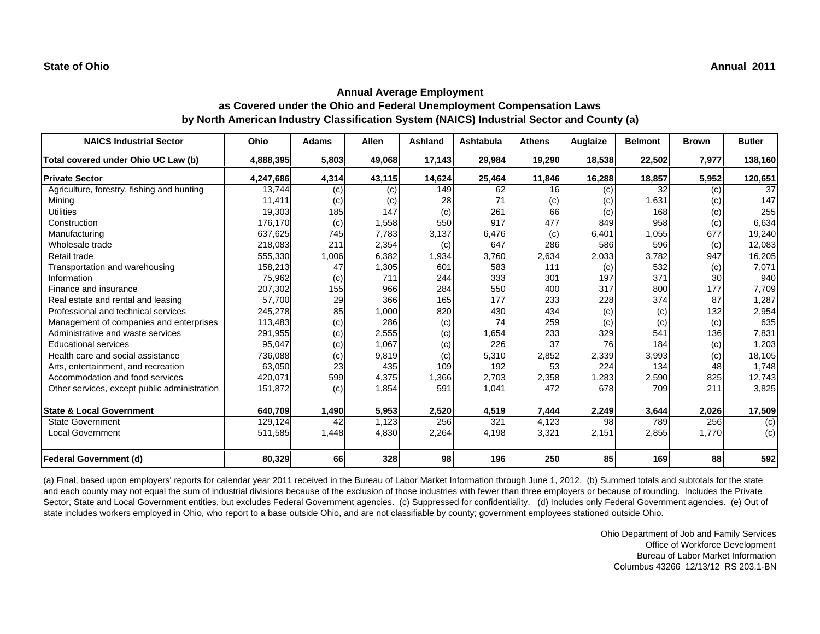| <b>NAICS Industrial Sector</b>               | Ohio      | <b>Adams</b> | <b>Allen</b> | <b>Ashland</b> | <b>Ashtabula</b> | <b>Athens</b> | Auglaize | <b>Belmont</b> | <b>Brown</b> | <b>Butler</b> |
|----------------------------------------------|-----------|--------------|--------------|----------------|------------------|---------------|----------|----------------|--------------|---------------|
| Total covered under Ohio UC Law (b)          | 4,888,395 | 5,803        | 49,068       | 17,143         | 29,984           | 19,290        | 18,538   | 22,502         | 7,977        | 138,160       |
| <b>Private Sector</b>                        | 4,247,686 | 4,314        | 43,115       | 14,624         | 25,464           | 11,846        | 16,288   | 18,857         | 5,952        | 120,651       |
| Agriculture, forestry, fishing and hunting   | 13,744    | (c)          | (c)          | 149            | 62               | 16            | (c)      | 32             | (c)          | 37            |
| Mining                                       | 11,411    | (c)          | (c)          | 28             | 71               | (c)           | (c)      | 1,631          | (c)          | 147           |
| <b>Utilities</b>                             | 19,303    | 185          | 147          | (c)            | 261              | 66            | (c)      | 168            | (c)          | 255           |
| Construction                                 | 176,170   | (c)          | 1,558        | 550            | 917              | 477           | 849      | 958            | (c)          | 6,634         |
| Manufacturing                                | 637,625   | 745          | 7,783        | 3,137          | 6,476            | (c)           | 6,401    | 1,055          | 677          | 19,240        |
| Wholesale trade                              | 218,083   | 211          | 2,354        | (c)            | 647              | 286           | 586      | 596            | (c)          | 12,083        |
| Retail trade                                 | 555,330   | 1,006        | 6,382        | 1,934          | 3,760            | 2,634         | 2,033    | 3,782          | 947          | 16,205        |
| Transportation and warehousing               | 158,213   | 47           | 1,305        | 601            | 583              | 111           | (c)      | 532            | (c)          | 7,071         |
| Information                                  | 75,962    | (c)          | 711          | 244            | 333              | 301           | 197      | 371            | 30           | 940           |
| Finance and insurance                        | 207,302   | 155          | 966          | 284            | 550              | 400           | 317      | 800            | 177          | 7,709         |
| Real estate and rental and leasing           | 57,700    | 29           | 366          | 165            | 177              | 233           | 228      | 374            | 87           | 1,287         |
| Professional and technical services          | 245,278   | 85           | 1,000        | 820            | 430              | 434           | (c)      | (c)            | 132          | 2,954         |
| Management of companies and enterprises      | 113,483   | (c)          | 286          | (c)            | 74               | 259           | (c)      | (c)            | (c)          | 635           |
| Administrative and waste services            | 291,955   | (c)          | 2,555        | (c)            | 1,654            | 233           | 329      | 541            | 136          | 7,831         |
| <b>Educational services</b>                  | 95,047    | (c)          | 1,067        | (c)            | 226              | 37            | 76       | 184            | (c)          | 1,203         |
| Health care and social assistance            | 736,088   | (c)          | 9,819        | (c)            | 5,310            | 2,852         | 2,339    | 3,993          | (c)          | 18,105        |
| Arts, entertainment, and recreation          | 63,050    | 23           | 435          | 109            | 192              | 53            | 224      | 134            | 48           | 1,748         |
| Accommodation and food services              | 420,071   | 599          | 4,375        | 1,366          | 2,703            | 2,358         | 1,283    | 2,590          | 825          | 12,743        |
| Other services, except public administration | 151,872   | (c)          | 1,854        | 591            | 1,041            | 472           | 678      | 709            | 211          | 3,825         |
| <b>State &amp; Local Government</b>          | 640,709   | 1,490        | 5,953        | 2,520          | 4,519            | 7,444         | 2,249    | 3,644          | 2,026        | 17,509        |
| <b>State Government</b>                      | 129,124   | 42           | 1,123        | 256            | 321              | 4,123         | 98       | 789            | 256          | (c)           |
| <b>Local Government</b>                      | 511,585   | 1,448        | 4,830        | 2,264          | 4,198            | 3,321         | 2,151    | 2,855          | 1,770        | (c)           |
| Federal Government (d)                       | 80,329    | 66           | 328          | <b>98</b>      | 196              | 250           | 85       | 169            | 88           | 592           |

(a) Final, based upon employers' reports for calendar year 2011 received in the Bureau of Labor Market Information through June 1, 2012. (b) Summed totals and subtotals for the state and each county may not equal the sum of industrial divisions because of the exclusion of those industries with fewer than three employers or because of rounding. Includes the Private Sector, State and Local Government entities, but excludes Federal Government agencies. (c) Suppressed for confidentiality. (d) Includes only Federal Government agencies. (e) Out of state includes workers employed in Ohio, who report to a base outside Ohio, and are not classifiable by county; government employees stationed outside Ohio.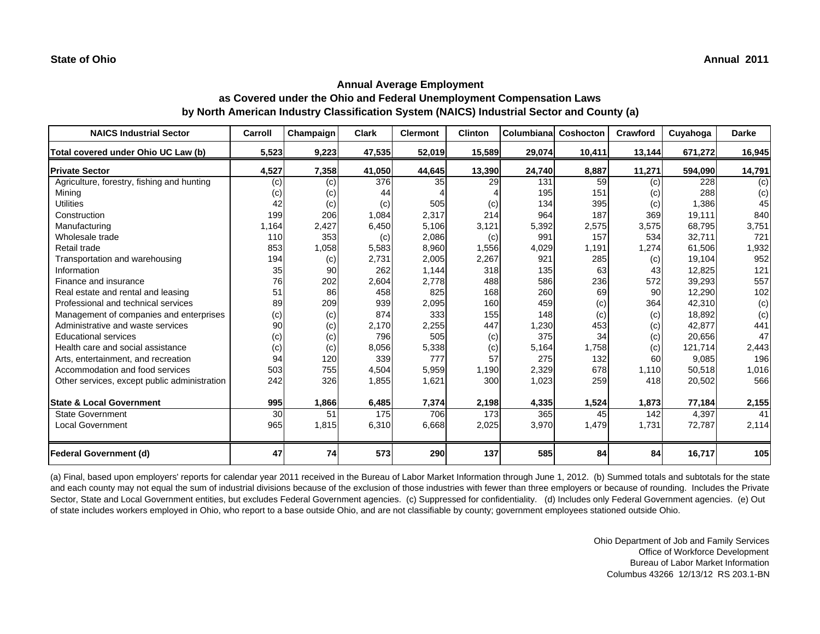| <b>NAICS Industrial Sector</b>               | Carroll | Champaign | <b>Clark</b> | <b>Clermont</b> | <b>Clinton</b> | <b>Columbianal</b> | Coshocton | Crawford | Cuyahoga | <b>Darke</b> |
|----------------------------------------------|---------|-----------|--------------|-----------------|----------------|--------------------|-----------|----------|----------|--------------|
| Total covered under Ohio UC Law (b)          | 5,523   | 9,223     | 47,535       | 52,019          | 15,589         | 29,074             | 10,411    | 13,144   | 671,272  | 16,945       |
| <b>Private Sector</b>                        | 4,527   | 7,358     | 41,050       | 44,645          | 13,390         | 24,740             | 8,887     | 11,271   | 594,090  | 14,791       |
| Agriculture, forestry, fishing and hunting   | (c)     | (c)       | 376          | 35              | 29             | 131                | 59        | (c)      | 228      | (c)          |
| Mining                                       | (c)     | (c)       | 44           |                 |                | 195                | 151       | (c)      | 288      | (c)          |
| <b>Utilities</b>                             | 42      | (c)       | (c)          | 505             | (c)            | 134                | 395       | (c)      | 1,386    | 45           |
| Construction                                 | 199     | 206       | 1,084        | 2,317           | 214            | 964                | 187       | 369      | 19,111   | 840          |
| Manufacturing                                | 1,164   | 2,427     | 6,450        | 5,106           | 3,121          | 5,392              | 2,575     | 3,575    | 68,795   | 3,751        |
| Wholesale trade                              | 110     | 353       | (c)          | 2,086           | (c)            | 991                | 157       | 534      | 32,711   | 721          |
| Retail trade                                 | 853     | 1,058     | 5,583        | 8,960           | 1,556          | 4,029              | 1,191     | 1,274    | 61,506   | 1,932        |
| Transportation and warehousing               | 194     | (c)       | 2,731        | 2,005           | 2,267          | 921                | 285       | (c)      | 19,104   | 952          |
| Information                                  | 35      | 90        | 262          | 1,144           | 318            | 135                | 63        | 43       | 12,825   | 121          |
| Finance and insurance                        | 76      | 202       | 2,604        | 2.778           | 488            | 586                | 236       | 572      | 39,293   | 557          |
| Real estate and rental and leasing           | 51      | 86        | 458          | 825             | 168            | 260                | 69        | 90       | 12,290   | 102          |
| Professional and technical services          | 89      | 209       | 939          | 2,095           | 160            | 459                | (c)       | 364      | 42,310   | (c)          |
| Management of companies and enterprises      | (c)     | (c)       | 874          | 333             | 155            | 148                | (c)       | (c)      | 18,892   | (c)          |
| Administrative and waste services            | 90      | (c)       | 2,170        | 2,255           | 447            | 1,230              | 453       | (c)      | 42,877   | 441          |
| <b>Educational services</b>                  | (c)     | (c)       | 796          | 505             | (c)            | 375                | 34        | (c)      | 20,656   | 47           |
| Health care and social assistance            | (c)     | (c)       | 8,056        | 5,338           | (c)            | 5,164              | 1,758     | (c)      | 121,714  | 2,443        |
| Arts, entertainment, and recreation          | 94      | 120       | 339          | 777             | 57             | 275                | 132       | 60       | 9,085    | 196          |
| Accommodation and food services              | 503     | 755       | 4,504        | 5,959           | 1,190          | 2,329              | 678       | 1,110    | 50,518   | 1,016        |
| Other services, except public administration | 242     | 326       | 1,855        | 1,621           | 300            | 1,023              | 259       | 418      | 20,502   | 566          |
|                                              |         |           |              |                 |                |                    |           |          |          |              |
| <b>State &amp; Local Government</b>          | 995     | 1,866     | 6,485        | 7,374           | 2,198          | 4,335              | 1,524     | 1,873    | 77,184   | 2,155        |
| <b>State Government</b>                      | 30      | 51        | 175          | 706             | 173            | 365                | 45        | 142      | 4,397    | 41           |
| <b>Local Government</b>                      | 965     | 1,815     | 6,310        | 6,668           | 2,025          | 3,970              | 1,479     | 1,731    | 72,787   | 2,114        |
| <b>Federal Government (d)</b>                | 47      | 74        | 573          | 290             | 137            | 585                | 84        | 84       | 16,717   | 105          |

(a) Final, based upon employers' reports for calendar year 2011 received in the Bureau of Labor Market Information through June 1, 2012. (b) Summed totals and subtotals for the state and each county may not equal the sum of industrial divisions because of the exclusion of those industries with fewer than three employers or because of rounding. Includes the Private Sector, State and Local Government entities, but excludes Federal Government agencies. (c) Suppressed for confidentiality. (d) Includes only Federal Government agencies. (e) Out of state includes workers employed in Ohio, who report to a base outside Ohio, and are not classifiable by county; government employees stationed outside Ohio.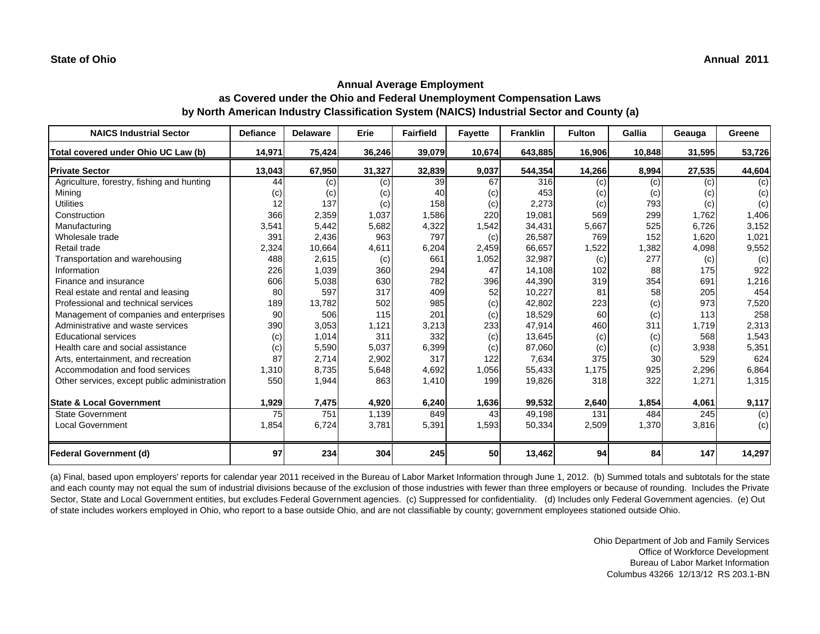| <b>NAICS Industrial Sector</b>               | <b>Defiance</b> | <b>Delaware</b> | Erie   | <b>Fairfield</b> | <b>Fayette</b> | <b>Franklin</b> | <b>Fulton</b> | Gallia | Geauga | Greene |
|----------------------------------------------|-----------------|-----------------|--------|------------------|----------------|-----------------|---------------|--------|--------|--------|
| Total covered under Ohio UC Law (b)          | 14,971          | 75,424          | 36,246 | 39,079           | 10,674         | 643,885         | 16,906        | 10,848 | 31,595 | 53,726 |
| <b>Private Sector</b>                        | 13,043          | 67,950          | 31,327 | 32,839           | 9,037          | 544,354         | 14,266        | 8,994  | 27,535 | 44,604 |
| Agriculture, forestry, fishing and hunting   | 44              | (c)             | (c)    | 39               | 67             | 316             | (c)           | (c)    | (c)    | (c)    |
| Minina                                       | (c)             | (c)             | (c)    | 40               | (c)            | 453             | (c)           | (c)    | (c)    | (c)    |
| <b>Utilities</b>                             | 12              | 137             | (c)    | 158              | (c)            | 2,273           | (c)           | 793    | (c)    | (c)    |
| Construction                                 | 366             | 2,359           | 1,037  | 1,586            | 220            | 19,081          | 569           | 299    | 1,762  | 1,406  |
| Manufacturing                                | 3,541           | 5,442           | 5,682  | 4,322            | 1,542          | 34,431          | 5,667         | 525    | 6,726  | 3,152  |
| Wholesale trade                              | 391             | 2,436           | 963    | 797              | (c)            | 26,587          | 769           | 152    | 1,620  | 1,021  |
| Retail trade                                 | 2,324           | 10,664          | 4,611  | 6,204            | 2,459          | 66,657          | 1,522         | 1,382  | 4,098  | 9,552  |
| Transportation and warehousing               | 488             | 2,615           | (c)    | 661              | 1,052          | 32,987          | (c)           | 277    | (c)    | (c)    |
| Information                                  | 226             | 1,039           | 360    | 294              | 47             | 14,108          | 102           | 88     | 175    | 922    |
| Finance and insurance                        | 606             | 5,038           | 630    | 782              | 396            | 44,390          | 319           | 354    | 691    | 1,216  |
| Real estate and rental and leasing           | 80              | 597             | 317    | 409              | 52             | 10,227          | 81            | 58     | 205    | 454    |
| Professional and technical services          | 189             | 13,782          | 502    | 985              | (c)            | 42,802          | 223           | (c)    | 973    | 7,520  |
| Management of companies and enterprises      | 90              | 506             | 115    | 201              | (c)            | 18,529          | 60            | (c)    | 113    | 258    |
| Administrative and waste services            | 390             | 3,053           | 1,121  | 3,213            | 233            | 47,914          | 460           | 311    | 1,719  | 2,313  |
| <b>Educational services</b>                  | (c)             | 1,014           | 311    | 332              | (c)            | 13,645          | (c)           | (c)    | 568    | 1,543  |
| Health care and social assistance            | (c)             | 5,590           | 5,037  | 6,399            | (c)            | 87,060          | (c)           | (c)    | 3,938  | 5,351  |
| Arts, entertainment, and recreation          | 87              | 2,714           | 2,902  | 317              | 122            | 7,634           | 375           | 30     | 529    | 624    |
| Accommodation and food services              | 1,310           | 8,735           | 5,648  | 4,692            | 1,056          | 55,433          | 1,175         | 925    | 2,296  | 6,864  |
| Other services, except public administration | 550             | 1,944           | 863    | 1,410            | 199            | 19,826          | 318           | 322    | 1,271  | 1,315  |
| <b>State &amp; Local Government</b>          | 1,929           | 7,475           | 4,920  | 6,240            | 1,636          | 99,532          | 2,640         | 1,854  | 4,061  | 9,117  |
| <b>State Government</b>                      | 75              | 751             | 1,139  | 849              | 43             | 49,198          | 131           | 484    | 245    | (c)    |
| <b>Local Government</b>                      | 1,854           | 6,724           | 3,781  | 5,391            | 1,593          | 50,334          | 2,509         | 1,370  | 3,816  | (c)    |
| <b>Federal Government (d)</b>                | 97              | 234             | 304    | 245              | 50             | 13,462          | 94            | 84     | 147    | 14.297 |

(a) Final, based upon employers' reports for calendar year 2011 received in the Bureau of Labor Market Information through June 1, 2012. (b) Summed totals and subtotals for the state and each county may not equal the sum of industrial divisions because of the exclusion of those industries with fewer than three employers or because of rounding. Includes the Private Sector, State and Local Government entities, but excludes Federal Government agencies. (c) Suppressed for confidentiality. (d) Includes only Federal Government agencies. (e) Out of state includes workers employed in Ohio, who report to a base outside Ohio, and are not classifiable by county; government employees stationed outside Ohio.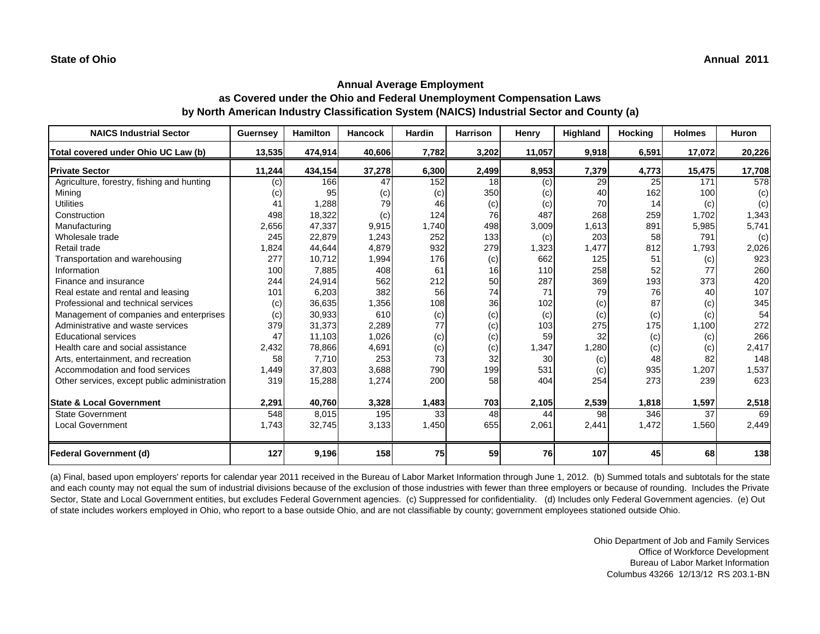| <b>NAICS Industrial Sector</b>               | <b>Guernsey</b> | <b>Hamilton</b> | <b>Hancock</b> | <b>Hardin</b> | <b>Harrison</b> | Henry  | Highland | Hocking | <b>Holmes</b> | <b>Huron</b> |
|----------------------------------------------|-----------------|-----------------|----------------|---------------|-----------------|--------|----------|---------|---------------|--------------|
| Total covered under Ohio UC Law (b)          | 13,535          | 474,914         | 40,606         | 7,782         | 3,202           | 11,057 | 9,918    | 6,591   | 17,072        | 20,226       |
| <b>Private Sector</b>                        | 11,244          | 434,154         | 37,278         | 6,300         | 2,499           | 8,953  | 7,379    | 4,773   | 15,475        | 17,708       |
| Agriculture, forestry, fishing and hunting   | (c)             | 166             | 47             | 152           | 18              | (c)    | 29       | 25      | 171           | 578          |
| Mining                                       | (c)             | 95              | (c)            | (c)           | 350             | (C)    | 40       | 162     | 100           | (c)          |
| <b>Utilities</b>                             | 41              | 1,288           | 79             | 46            | (c)             | (c)    | 70       | 14      | (c)           | (c)          |
| Construction                                 | 498             | 18,322          | (c)            | 124           | 76              | 487    | 268      | 259     | 1,702         | 1,343        |
| Manufacturing                                | 2,656           | 47,337          | 9,915          | 1,740         | 498             | 3,009  | 1,613    | 891     | 5,985         | 5,741        |
| Wholesale trade                              | 245             | 22,879          | 1,243          | 252           | 133             | (c)    | 203      | 58      | 791           | (c)          |
| Retail trade                                 | 1,824           | 44,644          | 4,879          | 932           | 279             | 1,323  | 1,477    | 812     | 1,793         | 2,026        |
| Transportation and warehousing               | 277             | 10,712          | 1,994          | 176           | (c)             | 662    | 125      | 51      | (c)           | 923          |
| Information                                  | 100             | 7,885           | 408            | 61            | 16              | 110    | 258      | 52      | 77            | 260          |
| Finance and insurance                        | 244             | 24,914          | 562            | 212           | 50              | 287    | 369      | 193     | 373           | 420          |
| Real estate and rental and leasing           | 101             | 6,203           | 382            | 56            | 74              | 71     | 79       | 76      | 40            | 107          |
| Professional and technical services          | (c)             | 36,635          | 1,356          | 108           | 36              | 102    | (c)      | 87      | (c)           | 345          |
| Management of companies and enterprises      | (c)             | 30,933          | 610            | (c)           | (c)             | (c)    | (c)      | (c)     | (c)           | 54           |
| Administrative and waste services            | 379             | 31,373          | 2,289          | 77            | (c)             | 103    | 275      | 175     | 1,100         | 272          |
| <b>Educational services</b>                  | 47              | 11.103          | 1,026          | (c)           | (c)             | 59     | 32       | (c)     | (c)           | 266          |
| Health care and social assistance            | 2,432           | 78,866          | 4,691          | (c)           | (c)             | 1,347  | 1,280    | (c)     | (c)           | 2,417        |
| Arts, entertainment, and recreation          | 58              | 7,710           | 253            | 73            | 32              | 30     | (c)      | 48      | 82            | 148          |
| Accommodation and food services              | 1,449           | 37,803          | 3,688          | 790           | 199             | 531    | (c)      | 935     | 1,207         | 1,537        |
| Other services, except public administration | 319             | 15,288          | 1,274          | 200           | 58              | 404    | 254      | 273     | 239           | 623          |
| <b>State &amp; Local Government</b>          | 2,291           | 40,760          | 3,328          | 1,483         | 703             | 2,105  | 2,539    | 1,818   | 1,597         | 2,518        |
| <b>State Government</b>                      | 548             | 8,015           | 195            | 33            | 48              | 44     | 98       | 346     | 37            | 69           |
| <b>Local Government</b>                      | 1,743           | 32,745          | 3,133          | 1,450         | 655             | 2,061  | 2,441    | 1,472   | 1,560         | 2,449        |
| <b>Federal Government (d)</b>                | 127             | 9,196           | 158            | 75            | 59              | 76     | 107      | 45      | 68            | 138          |

(a) Final, based upon employers' reports for calendar year 2011 received in the Bureau of Labor Market Information through June 1, 2012. (b) Summed totals and subtotals for the state and each county may not equal the sum of industrial divisions because of the exclusion of those industries with fewer than three employers or because of rounding. Includes the Private Sector, State and Local Government entities, but excludes Federal Government agencies. (c) Suppressed for confidentiality. (d) Includes only Federal Government agencies. (e) Out of state includes workers employed in Ohio, who report to a base outside Ohio, and are not classifiable by county; government employees stationed outside Ohio.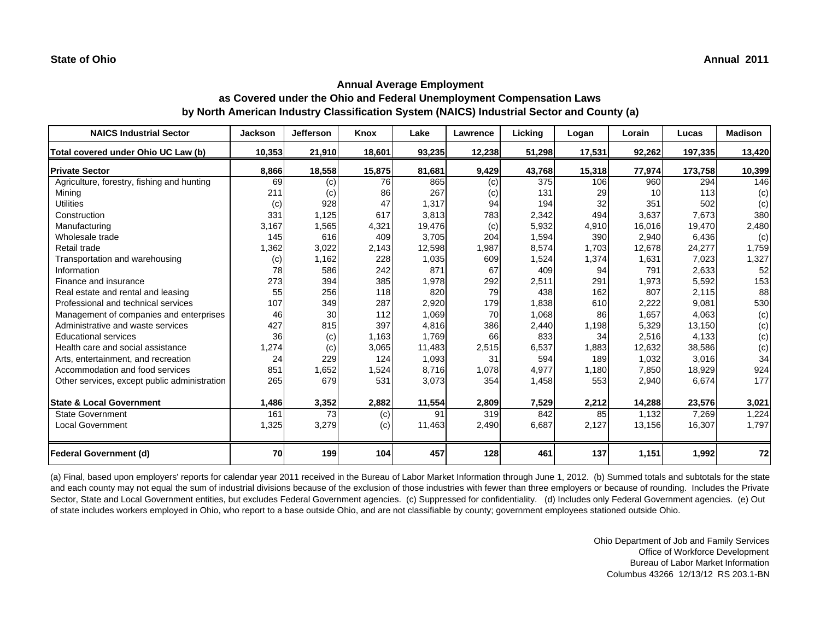| <b>NAICS Industrial Sector</b>               | <b>Jackson</b> | <b>Jefferson</b> | Knox   | Lake   | Lawrence | Licking | Logan  | Lorain | Lucas   | <b>Madison</b> |
|----------------------------------------------|----------------|------------------|--------|--------|----------|---------|--------|--------|---------|----------------|
| Total covered under Ohio UC Law (b)          | 10,353         | 21,910           | 18,601 | 93,235 | 12,238   | 51,298  | 17,531 | 92,262 | 197,335 | 13,420         |
| <b>Private Sector</b>                        | 8,866          | 18,558           | 15,875 | 81,681 | 9,429    | 43,768  | 15,318 | 77,974 | 173,758 | 10,399         |
| Agriculture, forestry, fishing and hunting   | 69             | (c)              | 76     | 865    | (c)      | 375     | 106    | 960    | 294     | 146            |
| Mining                                       | 211            | (c)              | 86     | 267    | (c)      | 131     | 29     | 10     | 113     | (c)            |
| <b>Utilities</b>                             | (c)            | 928              | 47     | 1,317  | 94       | 194     | 32     | 351    | 502     | (c)            |
| Construction                                 | 331            | 1,125            | 617    | 3,813  | 783      | 2,342   | 494    | 3,637  | 7,673   | 380            |
| Manufacturing                                | 3,167          | 1,565            | 4,321  | 19,476 | (c)      | 5,932   | 4,910  | 16,016 | 19,470  | 2,480          |
| Wholesale trade                              | 145            | 616              | 409    | 3.705  | 204      | 1,594   | 390    | 2,940  | 6,436   | (c)            |
| Retail trade                                 | 1,362          | 3,022            | 2,143  | 12,598 | 1,987    | 8,574   | 1,703  | 12,678 | 24,277  | 1,759          |
| Transportation and warehousing               | (c)            | 1,162            | 228    | 1,035  | 609      | 1,524   | 1,374  | 1,631  | 7,023   | 1,327          |
| Information                                  | 78             | 586              | 242    | 871    | 67       | 409     | 94     | 791    | 2,633   | 52             |
| Finance and insurance                        | 273            | 394              | 385    | 1,978  | 292      | 2,511   | 291    | 1,973  | 5,592   | 153            |
| Real estate and rental and leasing           | 55             | 256              | 118    | 820    | 79       | 438     | 162    | 807    | 2,115   | 88             |
| Professional and technical services          | 107            | 349              | 287    | 2,920  | 179      | 1,838   | 610    | 2,222  | 9,081   | 530            |
| Management of companies and enterprises      | 46             | 30               | 112    | 1,069  | 70       | 1,068   | 86     | 1,657  | 4,063   | (c)            |
| Administrative and waste services            | 427            | 815              | 397    | 4.816  | 386      | 2,440   | 1,198  | 5,329  | 13,150  | (c)            |
| <b>Educational services</b>                  | 36             | (c)              | 1,163  | 1,769  | 66       | 833     | 34     | 2,516  | 4,133   | (c)            |
| Health care and social assistance            | 1,274          | (c)              | 3,065  | 11,483 | 2,515    | 6,537   | 1,883  | 12,632 | 38,586  | (c)            |
| Arts, entertainment, and recreation          | 24             | 229              | 124    | 1,093  | 31       | 594     | 189    | 1,032  | 3,016   | 34             |
| Accommodation and food services              | 851            | 1,652            | 1,524  | 8,716  | 1,078    | 4,977   | 1,180  | 7,850  | 18,929  | 924            |
| Other services, except public administration | 265            | 679              | 531    | 3,073  | 354      | 1,458   | 553    | 2,940  | 6,674   | 177            |
| <b>State &amp; Local Government</b>          | 1,486          | 3,352            | 2,882  | 11,554 | 2,809    | 7,529   | 2,212  | 14,288 | 23,576  | 3,021          |
| <b>State Government</b>                      | 161            | 73               | (c)    | 91     | 319      | 842     | 85     | 1,132  | 7,269   | 1,224          |
| <b>Local Government</b>                      | 1,325          | 3,279            | (c)    | 11,463 | 2,490    | 6,687   | 2,127  | 13,156 | 16,307  | 1,797          |
| <b>Federal Government (d)</b>                | 70             | 199              | 104    | 457    | 128      | 461     | 137    | 1,151  | 1,992   | 72             |

(a) Final, based upon employers' reports for calendar year 2011 received in the Bureau of Labor Market Information through June 1, 2012. (b) Summed totals and subtotals for the state and each county may not equal the sum of industrial divisions because of the exclusion of those industries with fewer than three employers or because of rounding. Includes the Private Sector, State and Local Government entities, but excludes Federal Government agencies. (c) Suppressed for confidentiality. (d) Includes only Federal Government agencies. (e) Out of state includes workers employed in Ohio, who report to a base outside Ohio, and are not classifiable by county; government employees stationed outside Ohio.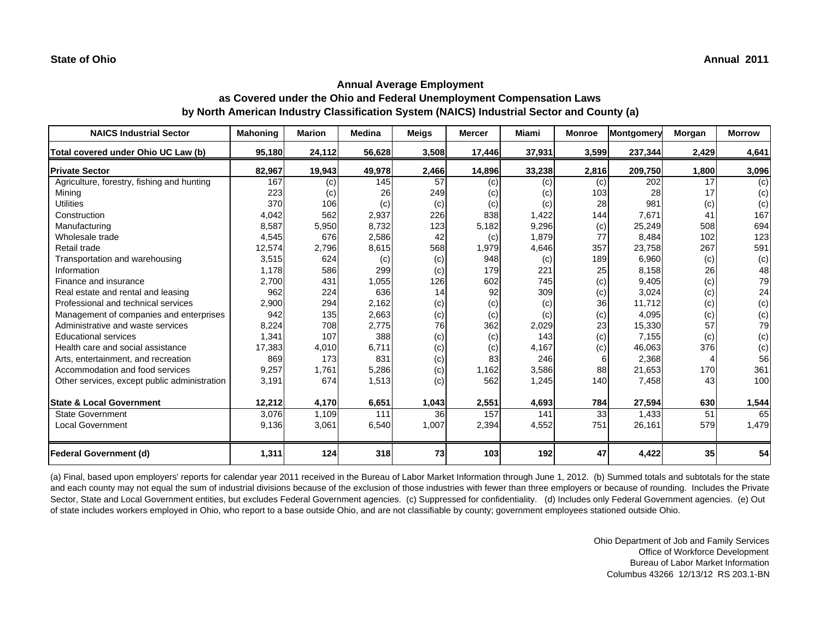| <b>NAICS Industrial Sector</b>               | <b>Mahoning</b> | <b>Marion</b> | <b>Medina</b> | <b>Meigs</b> | <b>Mercer</b> | Miami  | <b>Monroe</b> | <b>Montgomery</b> | Morgan | <b>Morrow</b> |
|----------------------------------------------|-----------------|---------------|---------------|--------------|---------------|--------|---------------|-------------------|--------|---------------|
| Total covered under Ohio UC Law (b)          | 95,180          | 24,112        | 56,628        | 3,508        | 17,446        | 37,931 | 3,599         | 237,344           | 2,429  | 4,641         |
| <b>Private Sector</b>                        | 82,967          | 19,943        | 49,978        | 2,466        | 14,896        | 33,238 | 2,816         | 209,750           | 1,800  | 3,096         |
| Agriculture, forestry, fishing and hunting   | 167             | (c)           | 145           | 57           | (c)           | (c)    | (c)           | 202               | 17     | (c)           |
| Mining                                       | 223             | (c)           | 26            | 249          | (c)           | (c)    | 103           | 28                | 17     | (c)           |
| <b>Utilities</b>                             | 370             | 106           | (c)           | (c)          | (c)           | (c)    | 28            | 981               | (c)    | (c)           |
| Construction                                 | 4,042           | 562           | 2,937         | 226          | 838           | 1,422  | 144           | 7,671             | 41     | 167           |
| Manufacturing                                | 8,587           | 5,950         | 8,732         | 123          | 5,182         | 9,296  | (c)           | 25,249            | 508    | 694           |
| Wholesale trade                              | 4,545           | 676           | 2,586         | 42           | (c)           | 1,879  | 77            | 8,484             | 102    | 123           |
| Retail trade                                 | 12,574          | 2,796         | 8,615         | 568          | 1,979         | 4,646  | 357           | 23,758            | 267    | 591           |
| Transportation and warehousing               | 3,515           | 624           | (c)           | (c)          | 948           | (c)    | 189           | 6,960             | (c)    | (c)           |
| Information                                  | 1,178           | 586           | 299           | (c)          | 179           | 221    | 25            | 8,158             | 26     | 48            |
| Finance and insurance                        | 2,700           | 431           | 1.055         | 126          | 602           | 745    | (c)           | 9,405             | (c)    | 79            |
| Real estate and rental and leasing           | 962             | 224           | 636           | 14           | 92            | 309    | (c)           | 3,024             | (c)    | 24            |
| Professional and technical services          | 2,900           | 294           | 2.162         | (c)          | (c)           | (c)    | 36            | 11.712            | (c)    | (c)           |
| Management of companies and enterprises      | 942             | 135           | 2,663         | (c)          | (c)           | (c)    | (c)           | 4,095             | (c)    | (c)           |
| Administrative and waste services            | 8,224           | 708           | 2,775         | 76           | 362           | 2,029  | 23            | 15,330            | 57     | 79            |
| <b>Educational services</b>                  | 1,341           | 107           | 388           | (c)          | (c)           | 143    | (c)           | 7,155             | (c)    | (c)           |
| Health care and social assistance            | 17,383          | 4,010         | 6,711         | (c)          | (c)           | 4,167  | (c)           | 46,063            | 376    | (c)           |
| Arts, entertainment, and recreation          | 869             | 173           | 831           | (c)          | 83            | 246    |               | 2,368             |        | 56            |
| Accommodation and food services              | 9,257           | 1,761         | 5,286         | (c)          | 1,162         | 3,586  | 88            | 21,653            | 170    | 361           |
| Other services, except public administration | 3,191           | 674           | 1,513         | (c)          | 562           | 1,245  | 140           | 7,458             | 43     | 100           |
|                                              |                 |               |               |              |               |        |               |                   |        |               |
| <b>State &amp; Local Government</b>          | 12,212          | 4,170         | 6,651         | 1,043        | 2,551         | 4,693  | 784           | 27,594            | 630    | 1,544         |
| <b>State Government</b>                      | 3,076           | 1,109         | 111           | 36           | 157           | 141    | 33            | 1,433             | 51     | 65            |
| <b>Local Government</b>                      | 9,136           | 3,061         | 6,540         | 1,007        | 2,394         | 4,552  | 751           | 26,161            | 579    | 1,479         |
| Federal Government (d)                       | 1,311           | 124           | 318           | 73           | 103           | 192    | 47            | 4,422             | 35     | 54            |

(a) Final, based upon employers' reports for calendar year 2011 received in the Bureau of Labor Market Information through June 1, 2012. (b) Summed totals and subtotals for the state and each county may not equal the sum of industrial divisions because of the exclusion of those industries with fewer than three employers or because of rounding. Includes the Private Sector, State and Local Government entities, but excludes Federal Government agencies. (c) Suppressed for confidentiality. (d) Includes only Federal Government agencies. (e) Out of state includes workers employed in Ohio, who report to a base outside Ohio, and are not classifiable by county; government employees stationed outside Ohio.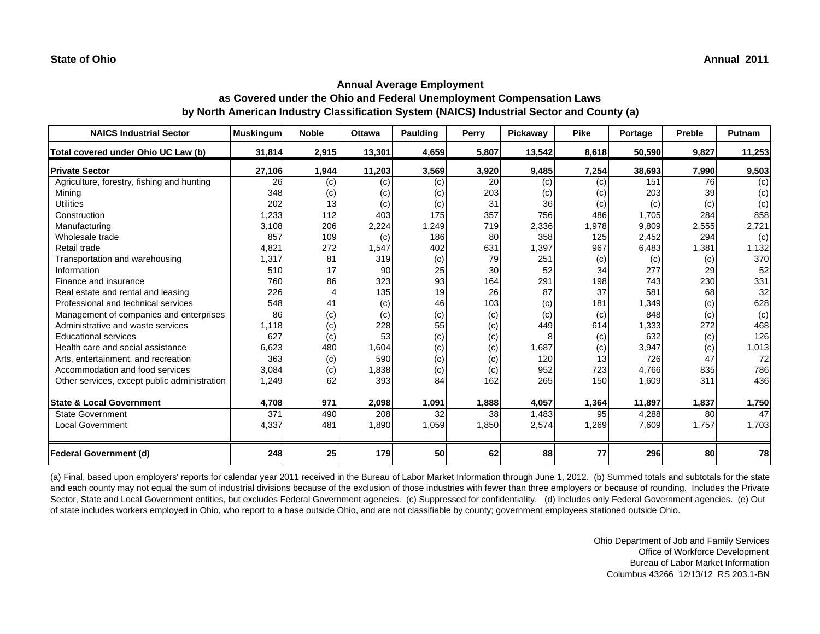| <b>NAICS Industrial Sector</b>               | <b>Muskingum</b> | <b>Noble</b> | <b>Ottawa</b> | <b>Paulding</b> | Perry | Pickaway | <b>Pike</b> | Portage | Preble | Putnam |
|----------------------------------------------|------------------|--------------|---------------|-----------------|-------|----------|-------------|---------|--------|--------|
| Total covered under Ohio UC Law (b)          | 31,814           | 2,915        | 13,301        | 4,659           | 5,807 | 13,542   | 8,618       | 50,590  | 9,827  | 11,253 |
| <b>Private Sector</b>                        | 27,106           | 1,944        | 11,203        | 3,569           | 3,920 | 9,485    | 7,254       | 38,693  | 7,990  | 9,503  |
| Agriculture, forestry, fishing and hunting   | 26               | (c)          | (c)           | (c)             | 20    | (c)      | (c)         | 151     | 76     | (c)    |
| Mining                                       | 348              | (c)          | (c)           | (c)             | 203   | (c)      | (c)         | 203     | 39     | (c)    |
| <b>Utilities</b>                             | 202              | 13           | (c)           | (c)             | 31    | 36       | (c)         | (c)     | (c)    | (c)    |
| Construction                                 | 1,233            | 112          | 403           | 175             | 357   | 756      | 486         | 1,705   | 284    | 858    |
| Manufacturing                                | 3,108            | 206          | 2,224         | 1,249           | 719   | 2,336    | 1,978       | 9,809   | 2,555  | 2,721  |
| Wholesale trade                              | 857              | 109          | (c)           | 186             | 80    | 358      | 125         | 2,452   | 294    | (c)    |
| Retail trade                                 | 4,821            | 272          | 1,547         | 402             | 631   | 1,397    | 967         | 6,483   | 1,381  | 1,132  |
| Transportation and warehousing               | 1,317            | 81           | 319           | (c)             | 79    | 251      | (c)         | (c)     | (c)    | 370    |
| Information                                  | 510              | 17           | 90            | 25              | 30    | 52       | 34          | 277     | 29     | 52     |
| Finance and insurance                        | 760              | 86           | 323           | 93              | 164   | 291      | 198         | 743     | 230    | 331    |
| Real estate and rental and leasing           | 226              |              | 135           | 19              | 26    | 87       | 37          | 581     | 68     | 32     |
| Professional and technical services          | 548              | 41           | (c)           | 46              | 103   | (c)      | 181         | 1,349   | (c)    | 628    |
| Management of companies and enterprises      | 86               | (c)          | (c)           | (c)             | (c)   | (c)      | (c)         | 848     | (c)    | (c)    |
| Administrative and waste services            | 1,118            | (c)          | 228           | 55              | (c)   | 449      | 614         | 1,333   | 272    | 468    |
| <b>Educational services</b>                  | 627              | (c)          | 53            | (c)             | (c)   |          | (c)         | 632     | (c)    | 126    |
| Health care and social assistance            | 6,623            | 480          | 1,604         | (c)             | (c)   | 1,687    | (c)         | 3,947   | (c)    | 1,013  |
| Arts, entertainment, and recreation          | 363              | (c)          | 590           | (c)             | (c)   | 120      | 13          | 726     | 47     | 72     |
| Accommodation and food services              | 3,084            | (c)          | 1,838         | (c)             | (c)   | 952      | 723         | 4,766   | 835    | 786    |
| Other services, except public administration | 1,249            | 62           | 393           | 84              | 162   | 265      | 150         | 1,609   | 311    | 436    |
|                                              |                  |              |               |                 |       |          |             |         |        |        |
| <b>State &amp; Local Government</b>          | 4,708            | 971          | 2,098         | 1,091           | 1,888 | 4,057    | 1,364       | 11,897  | 1,837  | 1,750  |
| <b>State Government</b>                      | 371              | 490          | 208           | 32              | 38    | 1,483    | 95          | 4,288   | 80     | 47     |
| <b>Local Government</b>                      | 4,337            | 481          | 1,890         | 1,059           | 1,850 | 2,574    | 1,269       | 7,609   | 1,757  | 1,703  |
| <b>Federal Government (d)</b>                | 248              | 25           | 179           | 50              | 62    | 88       | 77          | 296     | 80     | 78     |

(a) Final, based upon employers' reports for calendar year 2011 received in the Bureau of Labor Market Information through June 1, 2012. (b) Summed totals and subtotals for the state and each county may not equal the sum of industrial divisions because of the exclusion of those industries with fewer than three employers or because of rounding. Includes the Private Sector, State and Local Government entities, but excludes Federal Government agencies. (c) Suppressed for confidentiality. (d) Includes only Federal Government agencies. (e) Out of state includes workers employed in Ohio, who report to a base outside Ohio, and are not classifiable by county; government employees stationed outside Ohio.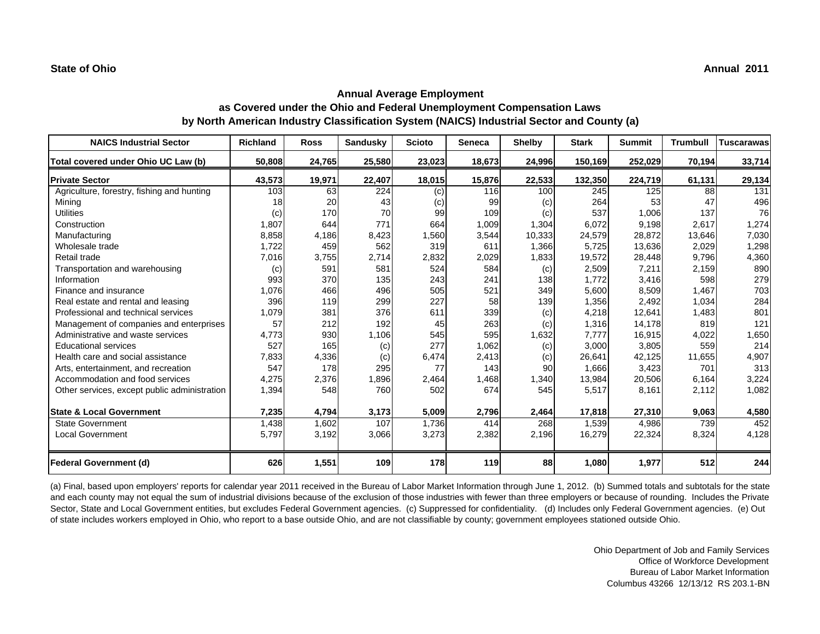| <b>NAICS Industrial Sector</b>               | <b>Richland</b> | <b>Ross</b> | Sandusky | <b>Scioto</b> | <b>Seneca</b> | <b>Shelby</b> | <b>Stark</b> | <b>Summit</b> | <b>Trumbull</b> | Tuscarawas |
|----------------------------------------------|-----------------|-------------|----------|---------------|---------------|---------------|--------------|---------------|-----------------|------------|
| Total covered under Ohio UC Law (b)          | 50,808          | 24,765      | 25,580   | 23,023        | 18,673        | 24,996        | 150,169      | 252,029       | 70,194          | 33,714     |
| <b>Private Sector</b>                        | 43,573          | 19,971      | 22,407   | 18,015        | 15,876        | 22,533        | 132,350      | 224,719       | 61,131          | 29,134     |
| Agriculture, forestry, fishing and hunting   | 103             | 63          | 224      | (c)           | 116           | 100           | 245          | 125           | 88              | 131        |
| Mining                                       | 18              | 20          | 43       | (c)           | 99            | (c)           | 264          | 53            | 47              | 496        |
| <b>Utilities</b>                             | (c)             | 170         | 70       | 99            | 109           | (c)           | 537          | 1,006         | 137             | 76         |
| Construction                                 | 1,807           | 644         | 771      | 664           | 1,009         | 1,304         | 6,072        | 9,198         | 2,617           | 1,274      |
| Manufacturing                                | 8,858           | 4,186       | 8,423    | 1,560         | 3,544         | 10,333        | 24,579       | 28,872        | 13,646          | 7,030      |
| Wholesale trade                              | 1,722           | 459         | 562      | 319           | 611           | 1,366         | 5,725        | 13,636        | 2,029           | 1,298      |
| Retail trade                                 | 7,016           | 3,755       | 2,714    | 2,832         | 2,029         | 1,833         | 19,572       | 28,448        | 9,796           | 4,360      |
| Transportation and warehousing               | (c)             | 591         | 581      | 524           | 584           | (c)           | 2,509        | 7,211         | 2,159           | 890        |
| Information                                  | 993             | 370         | 135      | 243           | 241           | 138           | 1,772        | 3,416         | 598             | 279        |
| Finance and insurance                        | 1,076           | 466         | 496      | 505           | 521           | 349           | 5,600        | 8,509         | 1,467           | 703        |
| Real estate and rental and leasing           | 396             | 119         | 299      | 227           | 58            | 139           | 1,356        | 2,492         | 1,034           | 284        |
| Professional and technical services          | 1,079           | 381         | 376      | 611           | 339           | (c)           | 4,218        | 12,641        | 1,483           | 801        |
| Management of companies and enterprises      | 57              | 212         | 192      | 45            | 263           | (c)           | 1,316        | 14,178        | 819             | 121        |
| Administrative and waste services            | 4,773           | 930         | 1,106    | 545           | 595           | 1,632         | 7,777        | 16,915        | 4,022           | 1,650      |
| <b>Educational services</b>                  | 527             | 165         | (c)      | 277           | 1,062         | (c)           | 3,000        | 3,805         | 559             | 214        |
| Health care and social assistance            | 7,833           | 4,336       | (c)      | 6,474         | 2,413         | (c)           | 26,641       | 42,125        | 11,655          | 4,907      |
| Arts, entertainment, and recreation          | 547             | 178         | 295      | 77            | 143           | 90            | 1,666        | 3,423         | 701             | 313        |
| Accommodation and food services              | 4,275           | 2,376       | 1,896    | 2,464         | 1,468         | 1,340         | 13,984       | 20,506        | 6,164           | 3,224      |
| Other services, except public administration | 1,394           | 548         | 760      | 502           | 674           | 545           | 5,517        | 8,161         | 2,112           | 1,082      |
| <b>State &amp; Local Government</b>          | 7,235           | 4,794       | 3,173    | 5,009         | 2,796         | 2,464         | 17,818       | 27,310        | 9,063           | 4,580      |
| <b>State Government</b>                      | 1,438           | 1,602       | 107      | 1,736         | 414           | 268           | 1,539        | 4,986         | 739             | 452        |
| <b>Local Government</b>                      | 5,797           | 3,192       | 3,066    | 3,273         | 2,382         | 2,196         | 16,279       | 22,324        | 8,324           | 4,128      |
| <b>Federal Government (d)</b>                | 626             | 1,551       | 109      | 178           | 119           | 88            | 1,080        | 1,977         | 512             | 244        |

(a) Final, based upon employers' reports for calendar year 2011 received in the Bureau of Labor Market Information through June 1, 2012. (b) Summed totals and subtotals for the state and each county may not equal the sum of industrial divisions because of the exclusion of those industries with fewer than three employers or because of rounding. Includes the Private Sector, State and Local Government entities, but excludes Federal Government agencies. (c) Suppressed for confidentiality. (d) Includes only Federal Government agencies. (e) Out of state includes workers employed in Ohio, who report to a base outside Ohio, and are not classifiable by county; government employees stationed outside Ohio.